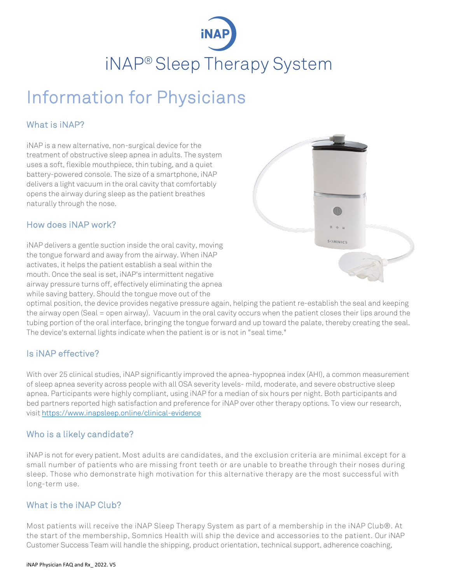# iNAP® Sleep Therapy System

## Information for Physicians

#### What is iNAP?

iNAP is a new alternative, non-surgical device for the treatment of obstructive sleep apnea in adults. The system uses a soft, flexible mouthpiece, thin tubing, and a quiet battery-powered console. The size of a smartphone, iNAP delivers a light vacuum in the oral cavity that comfortably opens the airway during sleep as the patient breathes naturally through the nose.

#### How does iNAP work?

iNAP delivers a gentle suction inside the oral cavity, moving the tongue forward and away from the airway. When iNAP activates, it helps the patient establish a seal within the mouth. Once the seal is set, iNAP's intermittent negative airway pressure turns off, effectively eliminating the apnea while saving battery. Should the tongue move out of the



optimal position, the device provides negative pressure again, helping the patient re-establish the seal and keeping the airway open (Seal = open airway). Vacuum in the oral cavity occurs when the patient closes their lips around the tubing portion of the oral interface, bringing the tongue forward and up toward the palate, thereby creating the seal. The device's external lights indicate when the patient is or is not in "seal time."

#### Is iNAP effective?

With over 25 clinical studies, iNAP significantly improved the apnea-hypopnea index (AHI), a common measurement of sleep apnea severity across people with all OSA severity levels- mild, moderate, and severe obstructive sleep apnea. Participants were highly compliant, using iNAP for a median of six hours per night. Both participants and bed partners reported high satisfaction and preference for iNAP over other therapy options. To view our research, visit https://www.inapsleep.online/clinical-evidence

#### Who is a likely candidate?

iNAP is not for every patient. Most adults are candidates, and the exclusion criteria are minimal except for a small number of patients who are missing front teeth or are unable to breathe through their noses during sleep. Those who demonstrate high motivation for this alternative therapy are the most successful with long-term use.

#### What is the iNAP Club?

Most patients will receive the iNAP Sleep Therapy System as part of a membership in the iNAP Club®. At the start of the membership, Somnics Health will ship the device and accessories to the patient. Our iNAP Customer Success Team will handle the shipping, product orientation, technical support, adherence coaching,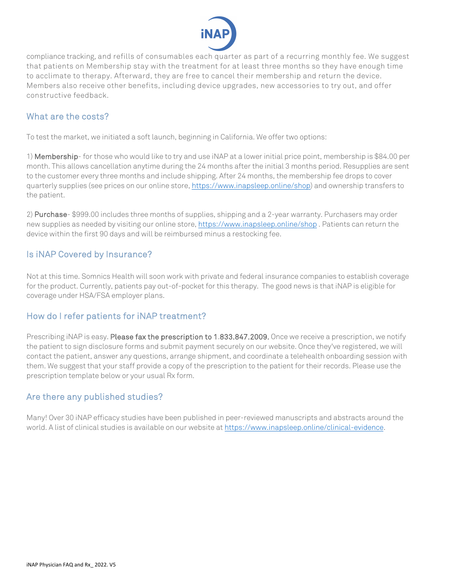

compliance tracking, and refills of consumables each quarter as part of a recurring monthly fee. We suggest that patients on Membership stay with the treatment for at least three months so they have enough time to acclimate to therapy. Afterward, they are free to cancel their membership and return the device. Members also receive other benefits, including device upgrades, new accessories to try out, and offer constructive feedback.

#### What are the costs?

To test the market, we initiated a soft launch, beginning in California. We offer two options:

1) Membership- for those who would like to try and use iNAP at a lower initial price point, membership is \$84.00 per month. This allows cancellation anytime during the 24 months after the initial 3 months period. Resupplies are sent to the customer every three months and include shipping. After 24 months, the membership fee drops to cover quarterly supplies (see prices on our online store, https://www.inapsleep.online/shop) and ownership transfers to the patient.

2) Purchase- \$999.00 includes three months of supplies, shipping and a 2-year warranty. Purchasers may order new supplies as needed by visiting our online store, https://www.inapsleep.online/shop . Patients can return the device within the first 90 days and will be reimbursed minus a restocking fee.

#### Is iNAP Covered by Insurance?

Not at this time. Somnics Health will soon work with private and federal insurance companies to establish coverage for the product. Currently, patients pay out-of-pocket for this therapy. The good news is that iNAP is eligible for coverage under HSA/FSA employer plans.

#### How do I refer patients for iNAP treatment?

Prescribing iNAP is easy. Please fax the prescription to 1.833.847.2009. Once we receive a prescription, we notify the patient to sign disclosure forms and submit payment securely on our website. Once they've registered, we will contact the patient, answer any questions, arrange shipment, and coordinate a telehealth onboarding session with them. We suggest that your staff provide a copy of the prescription to the patient for their records. Please use the prescription template below or your usual Rx form.

#### Are there any published studies?

Many! Over 30 iNAP efficacy studies have been published in peer-reviewed manuscripts and abstracts around the world. A list of clinical studies is available on our website at https://www.inapsleep.online/clinical-evidence.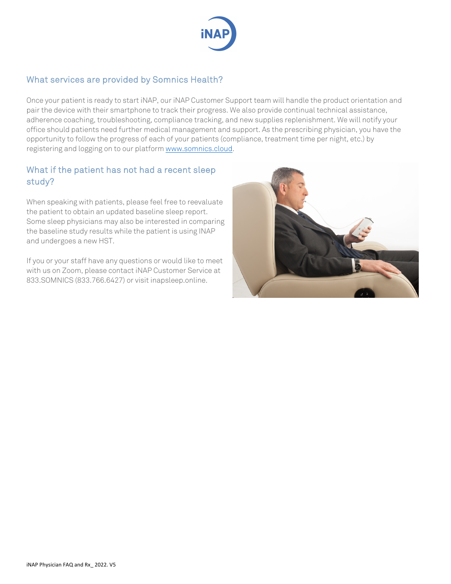

#### What services are provided by Somnics Health?

Once your patient is ready to start iNAP, our iNAP Customer Support team will handle the product orientation and pair the device with their smartphone to track their progress. We also provide continual technical assistance, adherence coaching, troubleshooting, compliance tracking, and new supplies replenishment. We will notify your office should patients need further medical management and support. As the prescribing physician, you have the opportunity to follow the progress of each of your patients (compliance, treatment time per night, etc.) by registering and logging on to our platform www.somnics.cloud.

#### What if the patient has not had a recent sleep study?

When speaking with patients, please feel free to reevaluate the patient to obtain an updated baseline sleep report. Some sleep physicians may also be interested in comparing the baseline study results while the patient is using INAP and undergoes a new HST.

If you or your staff have any questions or would like to meet with us on Zoom, please contact iNAP Customer Service at 833.SOMNICS (833.766.6427) or visit inapsleep.online.

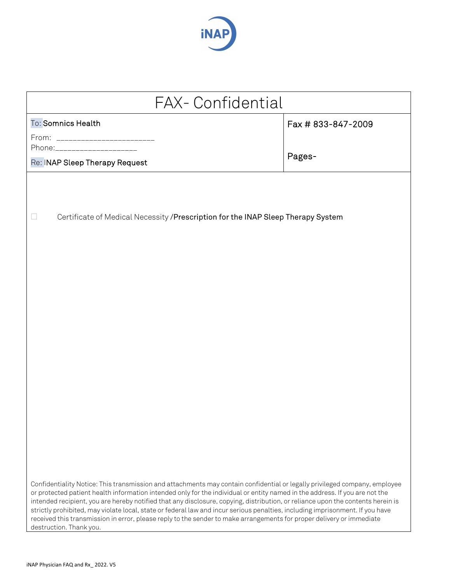

| <b>FAX-Confidential</b>                                                                                                                                                                                                                                                                                                                                                                                                                                                                                                                                                                                                                                                           |                              |  |  |  |  |  |
|-----------------------------------------------------------------------------------------------------------------------------------------------------------------------------------------------------------------------------------------------------------------------------------------------------------------------------------------------------------------------------------------------------------------------------------------------------------------------------------------------------------------------------------------------------------------------------------------------------------------------------------------------------------------------------------|------------------------------|--|--|--|--|--|
| To: Somnics Health<br>From: __________________________<br>Phone:_____________________<br>Re: INAP Sleep Therapy Request                                                                                                                                                                                                                                                                                                                                                                                                                                                                                                                                                           | Fax # 833-847-2009<br>Pages- |  |  |  |  |  |
| Certificate of Medical Necessity / Prescription for the INAP Sleep Therapy System<br>ш                                                                                                                                                                                                                                                                                                                                                                                                                                                                                                                                                                                            |                              |  |  |  |  |  |
|                                                                                                                                                                                                                                                                                                                                                                                                                                                                                                                                                                                                                                                                                   |                              |  |  |  |  |  |
|                                                                                                                                                                                                                                                                                                                                                                                                                                                                                                                                                                                                                                                                                   |                              |  |  |  |  |  |
|                                                                                                                                                                                                                                                                                                                                                                                                                                                                                                                                                                                                                                                                                   |                              |  |  |  |  |  |
| Confidentiality Notice: This transmission and attachments may contain confidential or legally privileged company, employee<br>or protected patient health information intended only for the individual or entity named in the address. If you are not the<br>intended recipient, you are hereby notified that any disclosure, copying, distribution, or reliance upon the contents herein is<br>strictly prohibited, may violate local, state or federal law and incur serious penalties, including imprisonment. If you have<br>received this transmission in error, please reply to the sender to make arrangements for proper delivery or immediate<br>destruction. Thank you. |                              |  |  |  |  |  |